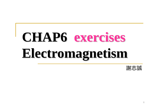# **CHAP6 exercises exercises Electromagnetism Electromagnetism**

謝志誠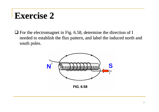#### **Exercise 2 Exercise 2**

 $\Box$  For the electromagnet in Fig. 6.58, determine the direction of I needed to establish the flux pattern, and label the induced north and south poles.

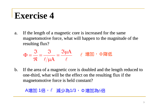a.If the length of a magnetic core is increased for the same magnetomotive force, what will happen to the magnitude of the resulting flux?

 $\ell/\mu A$   $\ell$  $\bm{\mathsf{A}}$  ${\bf A}$  $=\frac{\Im \mu}{\pi}$  $\mu$  $\frac{\mathfrak{I}}{\mathfrak{R}} = \frac{\mathfrak{I}}{\ell/\mu}$  $\mathfrak{I}$  $\Phi = \frac{\partial \Phi}{\partial t} = \frac{\partial \Phi}{\partial t}$   $\ell$  增加,  $\Phi$  降低

b.If the area of a magnetic core is doubled and the length reduced to one-third, what will be the effect on the resulting flux if the magnetomotive force is held constant?

A增加 1倍, l 減少為1/3, Φ增加為6倍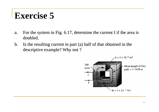- a.For the system in Fig.  $6.17$ , determine the current I if the area is doubled.
- b.Is the resulting current in part (a) half of that obtained in the descriptive example? Why not ?

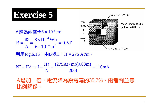$\bm{\mathsf{A}}$ 

B



利用Fig.6.15, 由B找H, H = 275 At/m。

 $\frac{11}{200t} = 110mA$  $(275 \text{At} / \text{m})(0.08 \text{m})$ N H $NI = H\ell \Rightarrow I = \frac{H\ell}{I} = \frac{(275 \text{At} / \text{m})(0.08 \text{m})}{I} =$ 

A增加一倍,電流降為原電流的35.7%,兩者間並無 比例關係。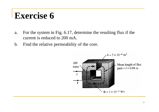- a. For the system in Fig. 6.17, determine the resulting flux if the current is reduced to 200 mA.
- b. Find the relative permeability of the core.

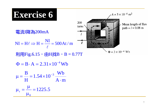#### Exercise 6  $A = 3 \times 10^{-4}$  m<sup>2</sup> 200 Mean length of flux turns  $path = l = 0.08$  m 電流I降為200mA  $NI = H\ell \Rightarrow H = \frac{NI}{\ell} = 500At/m$  $\Phi = 3 \times 10^{-4}$  Wb 利用Fig.6.15, 由H找B, B = 0.77T  $\Phi = B \cdot A = 2.31 \times 10^{-4}$  Wb  $\mu = \frac{B}{H} = 1.54 \times 10^{-3} \frac{Wb}{A \cdot m}$  $\mu_r = \frac{\mu}{\mu} = 1225.5$

 $\mu_0$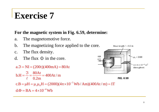#### **For the magnetic system in Fig. 6.59, determine:**

- a. The magnetomotive force.
- b. The magnetizing force applied to the core.
- c. The flux density.
- d. The flux  $\Phi$  in the core.

```
a.\Im = NI = (200t)(400mA) = 80At
```

$$
b.H = \frac{3}{\ell} = \frac{80At}{0.2m} = 400At/m
$$

$$
\begin{array}{c}\n\text{Mean length } l = 0.2 \text{ m} \\
\hline\n\text{400} \\
\text{mA} \\
\hline\n\text{N} = 200 \text{ m} \\
\hline\n\text{1} \\
\hline\n\text{1} \\
\hline\n\text{1} \\
\hline\n\text{1} \\
\hline\n\text{200} \\
\hline\n\text{3} \\
\hline\n\text{4} \\
\hline\n\text{5} \\
\hline\n\text{6} \\
\hline\n\text{6} \\
\hline\n\text{6} \\
\hline\n\text{7} \\
\hline\n\text{8} \\
\hline\n\text{8} \\
\hline\n\text{9} \\
\hline\n\text{1} \\
\hline\n\text{1} \\
\hline\n\text{1} \\
\hline\n\text{2} \\
\hline\n\text{1} \\
\hline\n\text{1} \\
\hline\n\text{2} \\
\hline\n\text{1} \\
\hline\n\text{2} \\
\hline\n\text{1} \\
\hline\n\text{2} \\
\hline\n\text{1} \\
\hline\n\text{2} \\
\hline\n\text{2} \\
\hline\n\text{3} \\
\hline\n\text{4} \\
\hline\n\text{5} \\
\hline\n\text{6} \\
\hline\n\text{7} \\
\hline\n\text{8} \\
\hline\n\text{9} \\
\hline\n\text{1} \\
\hline\n\text{1} \\
\hline\n\text{1} \\
\hline\n\text{1} \\
\hline\n\text{1} \\
\hline\n\text{2} \\
\hline\n\text{1} \\
\hline\n\text{1} \\
\hline\n\text{2} \\
\hline\n\text{1} \\
\hline\n\text{2} \\
\hline\n\text{1} \\
\hline\n\text{2} \\
\hline\n\text{1} \\
\hline\n\text{2} \\
\hline\n\text{3} \\
\hline\n\text{4} \\
\hline\n\text{5} \\
\hline\n\text{6} \\
\hline\n\text{7} \\
\hline\n\text{8} \\
\hline\n\text{9} \\
\hline\n\text{1} \\
\hline\n\text{1} \\
\hline\n\text{1} \\
\hline\n\text{1} \\
\hline\n\text{2} \\
\hline\n\text{1} \\
\hline\n\text{1} \\
\hline\n\text{2} \\
\hline\n\text{1} \\
\hline\n\text{2} \\
\hline\n\text{1} \\
\hline
$$

**FIG. 6.59** 

 $d.\Phi = BA = 4 \times 10^{-4}$  Wb c.B =  $\mu$ H =  $\mu_r \mu_0$ H = (2000)(4 $\pi \times 10^{-7}$  Wb/Am)(400At/m) = 1T  $r^{10}$  $=\mu H = \mu_r \mu_0 H = (2000)(4\pi \times 10^{-7} \text{ Wb} / \text{Am})(400 \text{At} / \text{m}) =$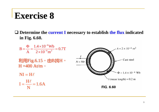$\Box$  Determine the current I necessary to establish the flux indicated in Fig. 6.60.

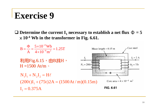$\Box$  Determine the current I<sub>1</sub> necessary to establish a net flux  $\Phi = 5$  $\times$  10<sup>-4</sup> Wb in the transformer in Fig. 6.61.

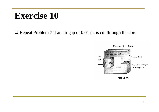$\Box$  Repeat Problem 7 if an air gap of 0.01 in. is cut through the core.

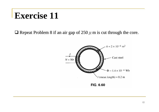**Q** Repeat Problem 8 if an air gap of 250  $\mu$  m is cut through the core.

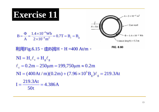

$$
B = \frac{\Phi}{A} = \frac{1.4 \times 10^{-4} Wb}{2 \times 10^{-4} m^2} = 0.7T = B_c = B_g
$$

利用Fig.6.15, 中B找H, H=400 At/m。



NI = H<sub>e</sub>l<sub>e</sub> + H<sub>g</sub>l<sub>g</sub>  
\nl<sub>c</sub> = 0.2m - 250µm = 199,750µm 
$$
\approx
$$
 0.2m  
\nNI = (400At/m)(0.2m) + (7.96 × 10<sup>5</sup>B<sub>g</sub>)l<sub>g</sub> = 219.3At  
\nI =  $\frac{219.3$ At}{50t} = 4.386A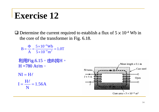$\Box$  Determine the current required to establish a flux of  $5 \times 10^{-4}$  Wb in the core of the transformer in Fig. 6.18.

 $B = \frac{\Phi}{A} = \frac{5 \times 10^{-4} Wb}{5 \times 10^{-4} m^2} = 1.0 T$ 

利用Fig.6.15, 由B找H,  $H = 780$  At/m  $\circ$ 

 $NI = H\ell$  $I = \frac{H\ell}{N} = 1.56A$ 

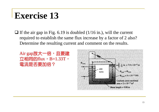$\Box$  If the air gap in Fig. 6.19 is doubled (1/16 in.), will the current required to establish the same flux increase by a factor of 2 also? Determine the resulting current and comment on the results.

Air gap放大一倍,且要建  $\overline{\Delta}$ 相同的flux,  $B=1.33T$ , 電流是否要加倍? 電流是否要加倍?

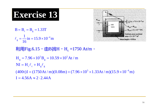$$
B = B_c = B_g = 1.33T
$$

$$
\ell_g = \frac{1}{16} \text{ in} = 15.9 \times 10^{-4} \text{ m}
$$



利用Fig.6.15, 由B找H, H<sub>c</sub>=1750 At/m。

```
H_g = 7.96 \times 10^5 B_g = 10.59 \times 10^5 At/mNI = H_c \ell_c + H_g \ell_g(400t)I = (1750At/m)(0.08m) + (7.96 \times 10^5 \times 1.33At/m)(15.9 \times 10^{-4}m)I = 4.56A \approx 2.2.44A
```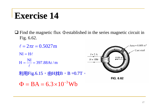$\Box$  Find the magnetic flux  $\Phi$  established in the series magnetic circuit in Fig. 6.62.



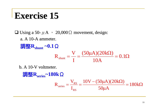#### **Exercise 15 Exercise 15**

 $\Box$  Using a 50-μA , 20,000Ω movement, design:

a. A 10-A ammeter.

調整**Rshunt ~0.1**Ω  $=\frac{V}{V}=\frac{(50\mu A)(20k\Omega)}{V}=0.1\Omega$ 10A $(50 \mu A)(20 \text{k}\Omega)$ IV $R_{\text{shunt}} = -$ 

b. A 10-V voltmeter.

調整**Rseries~180k**Ω  $\frac{\mu A}{\mu A} = 180 k\Omega$  $=\frac{V_{RS}}{V_{RS}} = \frac{10V - (50\mu A)(20k\Omega)}{V_{RS}} = 180k$  $50 \mu A$  $10{\rm V}$  –  $(50 \mu{\rm A})(20 {\rm k}\Omega)$ I V $R_{\text{scmise}} = -$ RS $S_{\text{series}} = \frac{v_{RS}}{r}$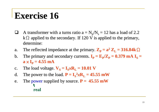- $\Box$ A transformer with a turns ratio  $a = N_p/N_s = 12$  has a load of 2.2 k $\Omega$  applied to the secondary. If 120 V is applied to the primary, determine:
- a.The reflected impedance at the primary.  $\mathbf{Z}_P = \mathbf{a}^2 \mathbf{Z}_L = 316.84 \mathbf{k} \Omega$
- b.The primary and secondary currents.  $I_P = E_P/Z_P = 0.379$  mA  $I_S =$  $\mathbf{a} \times \mathbf{I}_\mathbf{P}$  = 4.55 mA
- c.The load voltage.  $V_S = I_S \times R_L = 10.01$  V
- d.The power to the load.  $P = I_s^2 \times R_L = 45.55$  mW
- e.The power supplied by source.  $P = 45.55$  mW **real**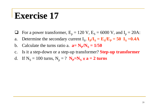#### **Exercise 17 Exercise 17**

- $\Box$ For a power transformer,  $E_p = 120$  V,  $E_S = 6000$  V, and  $I_p = 20$ A:
- a. Determine the secondary current  $I_S$ .  $I_P/I_S = E_S/E_P = 50$   $I_S = 0.4A$
- b. Calculate the turns ratio a.  $a = N_p/N_s = 1/50$
- c. Is it a step-down or a step-up transformer? **Step-up transformer**
- d. If  $N_s = 100$  turns,  $N_p = ?$   $N_p=N_s \times a = 2$  turns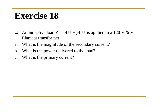## **Exercise 18 Exercise 18**

- $\Box$ **An** inductive load  $Z_L = 4\Omega + j4 \Omega$  is applied to a 120 V /6 V filament transformer.
- a.What is the magnitude of the secondary current?
- b.What is the power delivered to the load?
- c.What is the primary current?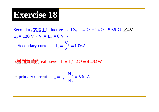Secondary端接上inductive load  $Z_I = 4 \Omega + j \frac{4 \Omega}{5.66} \Omega \angle 45^\circ$  $E_p = 120 V \cdot V_s = E_s = 6 V$ 

a. Secondary current  $I_s = \frac{V_s}{Z_r} = 1.06A$ 

b.送到負載的real power  $P = I_s^2 \cdot 4\Omega = 4.494W$ 

c. primary current  $I_p = I_s \cdot \frac{N_s}{N_p} = 53 \text{ mA}$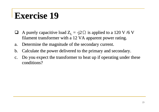#### **Exercise 19 Exercise 19**

- $\Box$ A purely capacitive load  $Z_L = -j2 \Omega$  is applied to a 120 V /6 V filament transformer with a 12 VA apparent power rating.
- a.Determine the magnitude of the secondary current.
- b.Calculate the power delivered to the primary and secondary.
- c.Do you expect the transformer to heat up if operating under these conditions?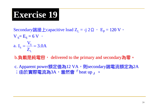Secondary端接上capacitive load Z = -j 2 Ω, E =  $\pm$  2  $\Omega$  V,

 $V_S = E_S = 6 V$  $\frac{S}{Z_{1}}$  = 3.0A V ${\rm I}_{\rm c} = \cdot$ a.  $I_{S} = \frac{S}{\sqrt{S}} =$ 

L

b.負載是純電容, delivered to the primary and secondary為零。

c. Apparent power額定值為12 VA, 引secondary端電流額定為2A ;由於實際電流為3A,當然會「heat up」。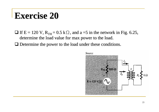#### **Exercise 20 Exercise 20**

- $\Box$  If E = 120 V, R<sub>TH</sub> = 0.5 k $\Omega$ , and a =5 in the network in Fig. 6.25, determine the load value for max power to the load.
- $\Box$  Determine the power to the load under these conditions.